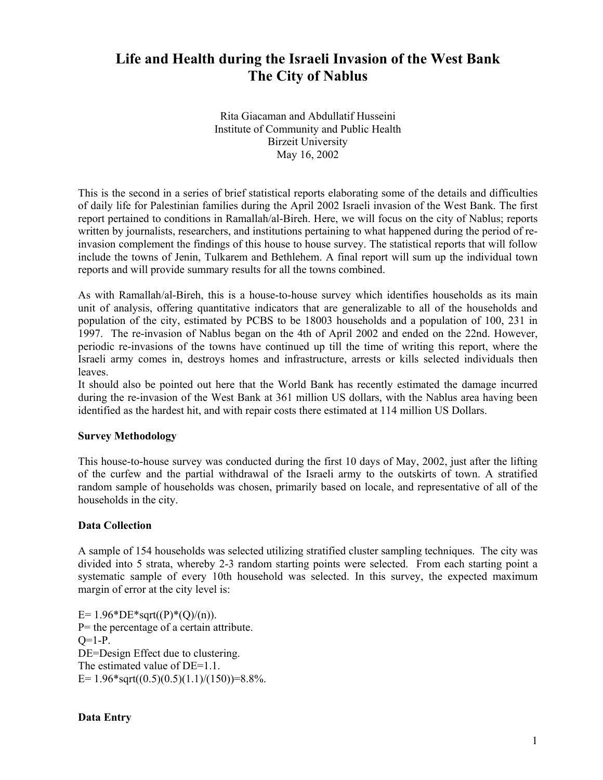# **Life and Health during the Israeli Invasion of the West Bank The City of Nablus**

Rita Giacaman and Abdullatif Husseini Institute of Community and Public Health Birzeit University May 16, 2002

This is the second in a series of brief statistical reports elaborating some of the details and difficulties of daily life for Palestinian families during the April 2002 Israeli invasion of the West Bank. The first report pertained to conditions in Ramallah/al-Bireh. Here, we will focus on the city of Nablus; reports written by journalists, researchers, and institutions pertaining to what happened during the period of reinvasion complement the findings of this house to house survey. The statistical reports that will follow include the towns of Jenin, Tulkarem and Bethlehem. A final report will sum up the individual town reports and will provide summary results for all the towns combined.

As with Ramallah/al-Bireh, this is a house-to-house survey which identifies households as its main unit of analysis, offering quantitative indicators that are generalizable to all of the households and population of the city, estimated by PCBS to be 18003 households and a population of 100, 231 in 1997. The re-invasion of Nablus began on the 4th of April 2002 and ended on the 22nd. However, periodic re-invasions of the towns have continued up till the time of writing this report, where the Israeli army comes in, destroys homes and infrastructure, arrests or kills selected individuals then leaves.

It should also be pointed out here that the World Bank has recently estimated the damage incurred during the re-invasion of the West Bank at 361 million US dollars, with the Nablus area having been identified as the hardest hit, and with repair costs there estimated at 114 million US Dollars.

# **Survey Methodology**

This house-to-house survey was conducted during the first 10 days of May, 2002, just after the lifting of the curfew and the partial withdrawal of the Israeli army to the outskirts of town. A stratified random sample of households was chosen, primarily based on locale, and representative of all of the households in the city.

# **Data Collection**

A sample of 154 households was selected utilizing stratified cluster sampling techniques. The city was divided into 5 strata, whereby 2-3 random starting points were selected. From each starting point a systematic sample of every 10th household was selected. In this survey, the expected maximum margin of error at the city level is:

E=  $1.96*DE*sqrt(P)*(Q)/(n)$ . P= the percentage of a certain attribute.  $Q=1-P$ . DE=Design Effect due to clustering. The estimated value of DE=1.1. E=  $1.96*sqrt((0.5)(0.5)(1.1)/(150))=8.8\%$ .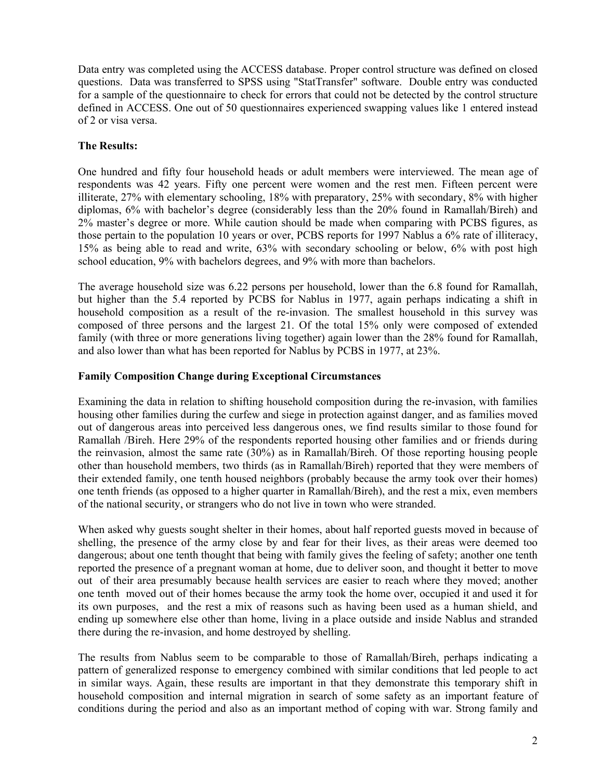Data entry was completed using the ACCESS database. Proper control structure was defined on closed questions. Data was transferred to SPSS using "StatTransfer" software. Double entry was conducted for a sample of the questionnaire to check for errors that could not be detected by the control structure defined in ACCESS. One out of 50 questionnaires experienced swapping values like 1 entered instead of 2 or visa versa.

# **The Results:**

One hundred and fifty four household heads or adult members were interviewed. The mean age of respondents was 42 years. Fifty one percent were women and the rest men. Fifteen percent were illiterate, 27% with elementary schooling, 18% with preparatory, 25% with secondary, 8% with higher diplomas, 6% with bachelor's degree (considerably less than the 20% found in Ramallah/Bireh) and 2% master's degree or more. While caution should be made when comparing with PCBS figures, as those pertain to the population 10 years or over, PCBS reports for 1997 Nablus a 6% rate of illiteracy, 15% as being able to read and write, 63% with secondary schooling or below, 6% with post high school education, 9% with bachelors degrees, and 9% with more than bachelors.

The average household size was 6.22 persons per household, lower than the 6.8 found for Ramallah, but higher than the 5.4 reported by PCBS for Nablus in 1977, again perhaps indicating a shift in household composition as a result of the re-invasion. The smallest household in this survey was composed of three persons and the largest 21. Of the total 15% only were composed of extended family (with three or more generations living together) again lower than the 28% found for Ramallah, and also lower than what has been reported for Nablus by PCBS in 1977, at 23%.

## **Family Composition Change during Exceptional Circumstances**

Examining the data in relation to shifting household composition during the re-invasion, with families housing other families during the curfew and siege in protection against danger, and as families moved out of dangerous areas into perceived less dangerous ones, we find results similar to those found for Ramallah /Bireh. Here 29% of the respondents reported housing other families and or friends during the reinvasion, almost the same rate (30%) as in Ramallah/Bireh. Of those reporting housing people other than household members, two thirds (as in Ramallah/Bireh) reported that they were members of their extended family, one tenth housed neighbors (probably because the army took over their homes) one tenth friends (as opposed to a higher quarter in Ramallah/Bireh), and the rest a mix, even members of the national security, or strangers who do not live in town who were stranded.

When asked why guests sought shelter in their homes, about half reported guests moved in because of shelling, the presence of the army close by and fear for their lives, as their areas were deemed too dangerous; about one tenth thought that being with family gives the feeling of safety; another one tenth reported the presence of a pregnant woman at home, due to deliver soon, and thought it better to move out of their area presumably because health services are easier to reach where they moved; another one tenth moved out of their homes because the army took the home over, occupied it and used it for its own purposes, and the rest a mix of reasons such as having been used as a human shield, and ending up somewhere else other than home, living in a place outside and inside Nablus and stranded there during the re-invasion, and home destroyed by shelling.

The results from Nablus seem to be comparable to those of Ramallah/Bireh, perhaps indicating a pattern of generalized response to emergency combined with similar conditions that led people to act in similar ways. Again, these results are important in that they demonstrate this temporary shift in household composition and internal migration in search of some safety as an important feature of conditions during the period and also as an important method of coping with war. Strong family and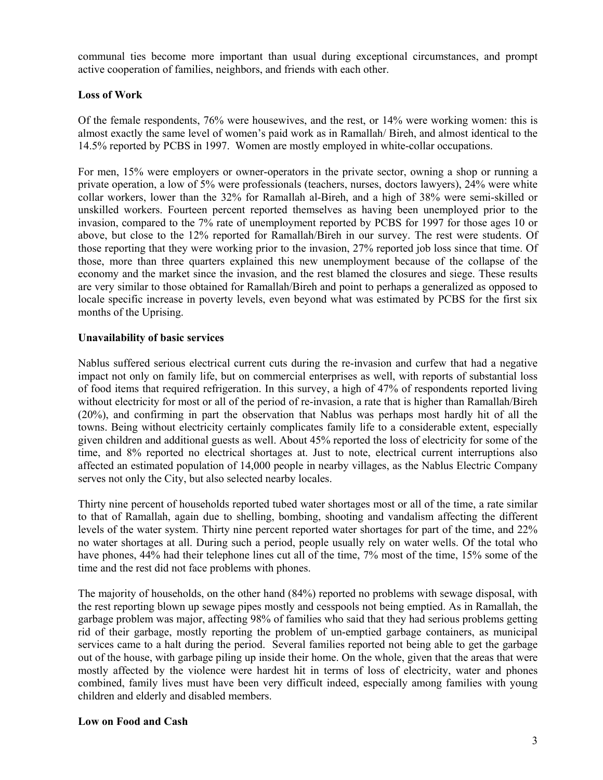communal ties become more important than usual during exceptional circumstances, and prompt active cooperation of families, neighbors, and friends with each other.

## **Loss of Work**

Of the female respondents, 76% were housewives, and the rest, or 14% were working women: this is almost exactly the same level of women's paid work as in Ramallah/ Bireh, and almost identical to the 14.5% reported by PCBS in 1997. Women are mostly employed in white-collar occupations.

For men, 15% were employers or owner-operators in the private sector, owning a shop or running a private operation, a low of 5% were professionals (teachers, nurses, doctors lawyers), 24% were white collar workers, lower than the 32% for Ramallah al-Bireh, and a high of 38% were semi-skilled or unskilled workers. Fourteen percent reported themselves as having been unemployed prior to the invasion, compared to the 7% rate of unemployment reported by PCBS for 1997 for those ages 10 or above, but close to the 12% reported for Ramallah/Bireh in our survey. The rest were students. Of those reporting that they were working prior to the invasion, 27% reported job loss since that time. Of those, more than three quarters explained this new unemployment because of the collapse of the economy and the market since the invasion, and the rest blamed the closures and siege. These results are very similar to those obtained for Ramallah/Bireh and point to perhaps a generalized as opposed to locale specific increase in poverty levels, even beyond what was estimated by PCBS for the first six months of the Uprising.

#### **Unavailability of basic services**

Nablus suffered serious electrical current cuts during the re-invasion and curfew that had a negative impact not only on family life, but on commercial enterprises as well, with reports of substantial loss of food items that required refrigeration. In this survey, a high of 47% of respondents reported living without electricity for most or all of the period of re-invasion, a rate that is higher than Ramallah/Bireh (20%), and confirming in part the observation that Nablus was perhaps most hardly hit of all the towns. Being without electricity certainly complicates family life to a considerable extent, especially given children and additional guests as well. About 45% reported the loss of electricity for some of the time, and 8% reported no electrical shortages at. Just to note, electrical current interruptions also affected an estimated population of 14,000 people in nearby villages, as the Nablus Electric Company serves not only the City, but also selected nearby locales.

Thirty nine percent of households reported tubed water shortages most or all of the time, a rate similar to that of Ramallah, again due to shelling, bombing, shooting and vandalism affecting the different levels of the water system. Thirty nine percent reported water shortages for part of the time, and 22% no water shortages at all. During such a period, people usually rely on water wells. Of the total who have phones, 44% had their telephone lines cut all of the time, 7% most of the time, 15% some of the time and the rest did not face problems with phones.

The majority of households, on the other hand (84%) reported no problems with sewage disposal, with the rest reporting blown up sewage pipes mostly and cesspools not being emptied. As in Ramallah, the garbage problem was major, affecting 98% of families who said that they had serious problems getting rid of their garbage, mostly reporting the problem of un-emptied garbage containers, as municipal services came to a halt during the period. Several families reported not being able to get the garbage out of the house, with garbage piling up inside their home. On the whole, given that the areas that were mostly affected by the violence were hardest hit in terms of loss of electricity, water and phones combined, family lives must have been very difficult indeed, especially among families with young children and elderly and disabled members.

#### **Low on Food and Cash**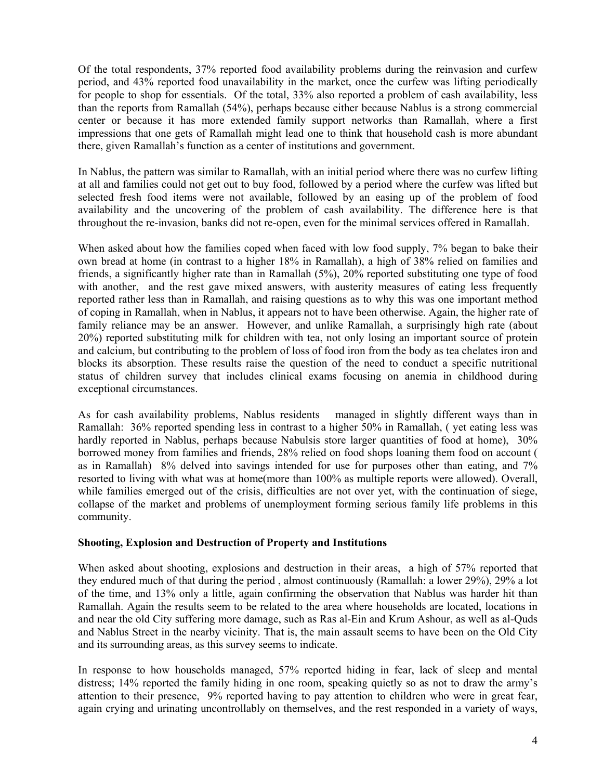Of the total respondents, 37% reported food availability problems during the reinvasion and curfew period, and 43% reported food unavailability in the market, once the curfew was lifting periodically for people to shop for essentials. Of the total, 33% also reported a problem of cash availability, less than the reports from Ramallah (54%), perhaps because either because Nablus is a strong commercial center or because it has more extended family support networks than Ramallah, where a first impressions that one gets of Ramallah might lead one to think that household cash is more abundant there, given Ramallah's function as a center of institutions and government.

In Nablus, the pattern was similar to Ramallah, with an initial period where there was no curfew lifting at all and families could not get out to buy food, followed by a period where the curfew was lifted but selected fresh food items were not available, followed by an easing up of the problem of food availability and the uncovering of the problem of cash availability. The difference here is that throughout the re-invasion, banks did not re-open, even for the minimal services offered in Ramallah.

When asked about how the families coped when faced with low food supply, 7% began to bake their own bread at home (in contrast to a higher 18% in Ramallah), a high of 38% relied on families and friends, a significantly higher rate than in Ramallah (5%), 20% reported substituting one type of food with another, and the rest gave mixed answers, with austerity measures of eating less frequently reported rather less than in Ramallah, and raising questions as to why this was one important method of coping in Ramallah, when in Nablus, it appears not to have been otherwise. Again, the higher rate of family reliance may be an answer. However, and unlike Ramallah, a surprisingly high rate (about 20%) reported substituting milk for children with tea, not only losing an important source of protein and calcium, but contributing to the problem of loss of food iron from the body as tea chelates iron and blocks its absorption. These results raise the question of the need to conduct a specific nutritional status of children survey that includes clinical exams focusing on anemia in childhood during exceptional circumstances.

As for cash availability problems, Nablus residents managed in slightly different ways than in Ramallah: 36% reported spending less in contrast to a higher 50% in Ramallah, ( yet eating less was hardly reported in Nablus, perhaps because Nabulsis store larger quantities of food at home), 30% borrowed money from families and friends, 28% relied on food shops loaning them food on account ( as in Ramallah) 8% delved into savings intended for use for purposes other than eating, and 7% resorted to living with what was at home(more than 100% as multiple reports were allowed). Overall, while families emerged out of the crisis, difficulties are not over yet, with the continuation of siege, collapse of the market and problems of unemployment forming serious family life problems in this community.

#### **Shooting, Explosion and Destruction of Property and Institutions**

When asked about shooting, explosions and destruction in their areas, a high of 57% reported that they endured much of that during the period , almost continuously (Ramallah: a lower 29%), 29% a lot of the time, and 13% only a little, again confirming the observation that Nablus was harder hit than Ramallah. Again the results seem to be related to the area where households are located, locations in and near the old City suffering more damage, such as Ras al-Ein and Krum Ashour, as well as al-Quds and Nablus Street in the nearby vicinity. That is, the main assault seems to have been on the Old City and its surrounding areas, as this survey seems to indicate.

In response to how households managed, 57% reported hiding in fear, lack of sleep and mental distress; 14% reported the family hiding in one room, speaking quietly so as not to draw the army's attention to their presence, 9% reported having to pay attention to children who were in great fear, again crying and urinating uncontrollably on themselves, and the rest responded in a variety of ways,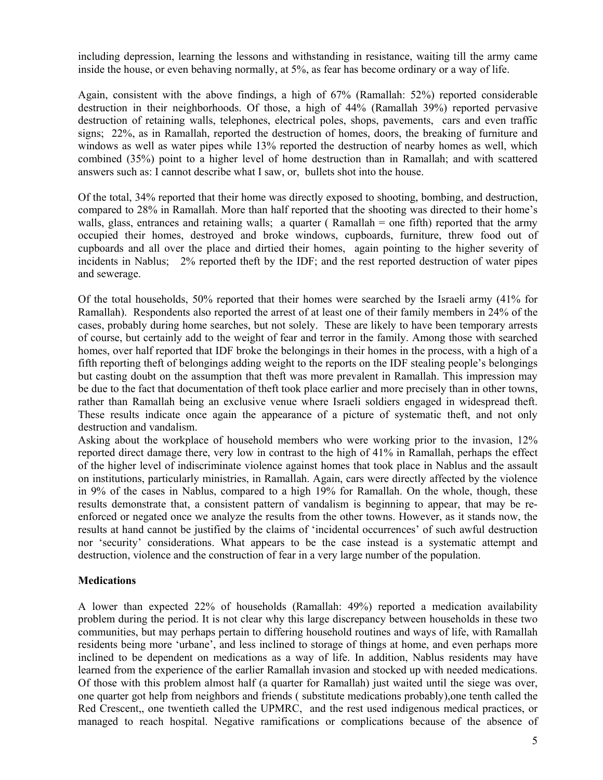including depression, learning the lessons and withstanding in resistance, waiting till the army came inside the house, or even behaving normally, at 5%, as fear has become ordinary or a way of life.

Again, consistent with the above findings, a high of 67% (Ramallah: 52%) reported considerable destruction in their neighborhoods. Of those, a high of 44% (Ramallah 39%) reported pervasive destruction of retaining walls, telephones, electrical poles, shops, pavements, cars and even traffic signs; 22%, as in Ramallah, reported the destruction of homes, doors, the breaking of furniture and windows as well as water pipes while 13% reported the destruction of nearby homes as well, which combined (35%) point to a higher level of home destruction than in Ramallah; and with scattered answers such as: I cannot describe what I saw, or, bullets shot into the house.

Of the total, 34% reported that their home was directly exposed to shooting, bombing, and destruction, compared to 28% in Ramallah. More than half reported that the shooting was directed to their home's walls, glass, entrances and retaining walls; a quarter (Ramallah = one fifth) reported that the army occupied their homes, destroyed and broke windows, cupboards, furniture, threw food out of cupboards and all over the place and dirtied their homes, again pointing to the higher severity of incidents in Nablus; 2% reported theft by the IDF; and the rest reported destruction of water pipes and sewerage.

Of the total households, 50% reported that their homes were searched by the Israeli army (41% for Ramallah). Respondents also reported the arrest of at least one of their family members in 24% of the cases, probably during home searches, but not solely. These are likely to have been temporary arrests of course, but certainly add to the weight of fear and terror in the family. Among those with searched homes, over half reported that IDF broke the belongings in their homes in the process, with a high of a fifth reporting theft of belongings adding weight to the reports on the IDF stealing people's belongings but casting doubt on the assumption that theft was more prevalent in Ramallah. This impression may be due to the fact that documentation of theft took place earlier and more precisely than in other towns, rather than Ramallah being an exclusive venue where Israeli soldiers engaged in widespread theft. These results indicate once again the appearance of a picture of systematic theft, and not only destruction and vandalism.

Asking about the workplace of household members who were working prior to the invasion, 12% reported direct damage there, very low in contrast to the high of 41% in Ramallah, perhaps the effect of the higher level of indiscriminate violence against homes that took place in Nablus and the assault on institutions, particularly ministries, in Ramallah. Again, cars were directly affected by the violence in 9% of the cases in Nablus, compared to a high 19% for Ramallah. On the whole, though, these results demonstrate that, a consistent pattern of vandalism is beginning to appear, that may be reenforced or negated once we analyze the results from the other towns. However, as it stands now, the results at hand cannot be justified by the claims of 'incidental occurrences' of such awful destruction nor 'security' considerations. What appears to be the case instead is a systematic attempt and destruction, violence and the construction of fear in a very large number of the population.

#### **Medications**

A lower than expected 22% of households (Ramallah: 49%) reported a medication availability problem during the period. It is not clear why this large discrepancy between households in these two communities, but may perhaps pertain to differing household routines and ways of life, with Ramallah residents being more 'urbane', and less inclined to storage of things at home, and even perhaps more inclined to be dependent on medications as a way of life. In addition, Nablus residents may have learned from the experience of the earlier Ramallah invasion and stocked up with needed medications. Of those with this problem almost half (a quarter for Ramallah) just waited until the siege was over, one quarter got help from neighbors and friends ( substitute medications probably),one tenth called the Red Crescent,, one twentieth called the UPMRC, and the rest used indigenous medical practices, or managed to reach hospital. Negative ramifications or complications because of the absence of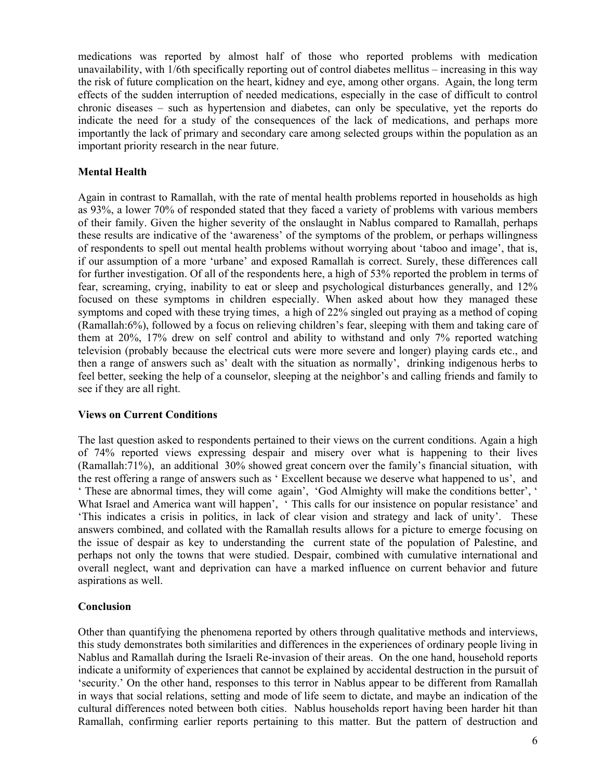medications was reported by almost half of those who reported problems with medication unavailability, with 1/6th specifically reporting out of control diabetes mellitus – increasing in this way the risk of future complication on the heart, kidney and eye, among other organs. Again, the long term effects of the sudden interruption of needed medications, especially in the case of difficult to control chronic diseases – such as hypertension and diabetes, can only be speculative, yet the reports do indicate the need for a study of the consequences of the lack of medications, and perhaps more importantly the lack of primary and secondary care among selected groups within the population as an important priority research in the near future.

#### **Mental Health**

Again in contrast to Ramallah, with the rate of mental health problems reported in households as high as 93%, a lower 70% of responded stated that they faced a variety of problems with various members of their family. Given the higher severity of the onslaught in Nablus compared to Ramallah, perhaps these results are indicative of the 'awareness' of the symptoms of the problem, or perhaps willingness of respondents to spell out mental health problems without worrying about 'taboo and image', that is, if our assumption of a more 'urbane' and exposed Ramallah is correct. Surely, these differences call for further investigation. Of all of the respondents here, a high of 53% reported the problem in terms of fear, screaming, crying, inability to eat or sleep and psychological disturbances generally, and 12% focused on these symptoms in children especially. When asked about how they managed these symptoms and coped with these trying times, a high of 22% singled out praying as a method of coping (Ramallah:6%), followed by a focus on relieving children's fear, sleeping with them and taking care of them at 20%, 17% drew on self control and ability to withstand and only 7% reported watching television (probably because the electrical cuts were more severe and longer) playing cards etc., and then a range of answers such as' dealt with the situation as normally', drinking indigenous herbs to feel better, seeking the help of a counselor, sleeping at the neighbor's and calling friends and family to see if they are all right.

#### **Views on Current Conditions**

The last question asked to respondents pertained to their views on the current conditions. Again a high of 74% reported views expressing despair and misery over what is happening to their lives (Ramallah:71%), an additional 30% showed great concern over the family's financial situation, with the rest offering a range of answers such as ' Excellent because we deserve what happened to us', and ' These are abnormal times, they will come again', 'God Almighty will make the conditions better', ' What Israel and America want will happen', ' This calls for our insistence on popular resistance' and 'This indicates a crisis in politics, in lack of clear vision and strategy and lack of unity'. These answers combined, and collated with the Ramallah results allows for a picture to emerge focusing on the issue of despair as key to understanding the current state of the population of Palestine, and perhaps not only the towns that were studied. Despair, combined with cumulative international and overall neglect, want and deprivation can have a marked influence on current behavior and future aspirations as well.

# **Conclusion**

Other than quantifying the phenomena reported by others through qualitative methods and interviews, this study demonstrates both similarities and differences in the experiences of ordinary people living in Nablus and Ramallah during the Israeli Re-invasion of their areas. On the one hand, household reports indicate a uniformity of experiences that cannot be explained by accidental destruction in the pursuit of 'security.' On the other hand, responses to this terror in Nablus appear to be different from Ramallah in ways that social relations, setting and mode of life seem to dictate, and maybe an indication of the cultural differences noted between both cities. Nablus households report having been harder hit than Ramallah, confirming earlier reports pertaining to this matter. But the pattern of destruction and